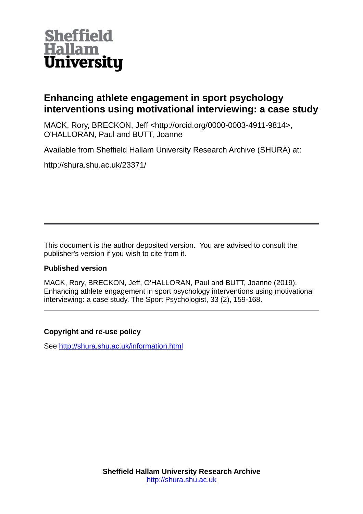

# **Enhancing athlete engagement in sport psychology interventions using motivational interviewing: a case study**

MACK, Rory, BRECKON, Jeff <http://orcid.org/0000-0003-4911-9814>, O'HALLORAN, Paul and BUTT, Joanne

Available from Sheffield Hallam University Research Archive (SHURA) at:

http://shura.shu.ac.uk/23371/

This document is the author deposited version. You are advised to consult the publisher's version if you wish to cite from it.

# **Published version**

MACK, Rory, BRECKON, Jeff, O'HALLORAN, Paul and BUTT, Joanne (2019). Enhancing athlete engagement in sport psychology interventions using motivational interviewing: a case study. The Sport Psychologist, 33 (2), 159-168.

# **Copyright and re-use policy**

See<http://shura.shu.ac.uk/information.html>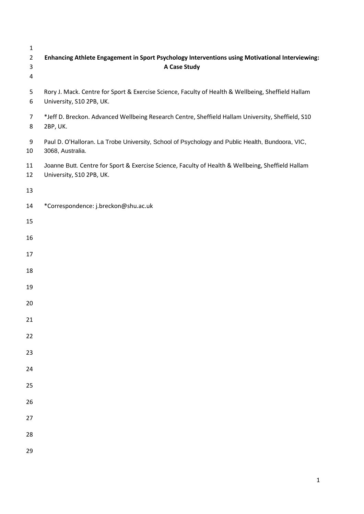| $\mathbf{1}$        |                                                                                                                                |
|---------------------|--------------------------------------------------------------------------------------------------------------------------------|
| $\overline{2}$      | Enhancing Athlete Engagement in Sport Psychology Interventions using Motivational Interviewing:                                |
| 3                   | <b>A Case Study</b>                                                                                                            |
| 4                   |                                                                                                                                |
| 5<br>6              | Rory J. Mack. Centre for Sport & Exercise Science, Faculty of Health & Wellbeing, Sheffield Hallam<br>University, S10 2PB, UK. |
| $\overline{7}$<br>8 | *Jeff D. Breckon. Advanced Wellbeing Research Centre, Sheffield Hallam University, Sheffield, S10<br>2BP, UK.                  |
| 9<br>10             | Paul D. O'Halloran. La Trobe University, School of Psychology and Public Health, Bundoora, VIC,<br>3068, Australia.            |
| 11<br>12            | Joanne Butt. Centre for Sport & Exercise Science, Faculty of Health & Wellbeing, Sheffield Hallam<br>University, S10 2PB, UK.  |
| 13                  |                                                                                                                                |
| 14                  | *Correspondence: j.breckon@shu.ac.uk                                                                                           |
| 15                  |                                                                                                                                |
| 16                  |                                                                                                                                |
| 17                  |                                                                                                                                |
| 18                  |                                                                                                                                |
| 19                  |                                                                                                                                |
| 20                  |                                                                                                                                |
| 21                  |                                                                                                                                |
| 22                  |                                                                                                                                |
| 23                  |                                                                                                                                |
| 24                  |                                                                                                                                |
| 25                  |                                                                                                                                |
| 26                  |                                                                                                                                |
| 27                  |                                                                                                                                |
| 28                  |                                                                                                                                |
| 29                  |                                                                                                                                |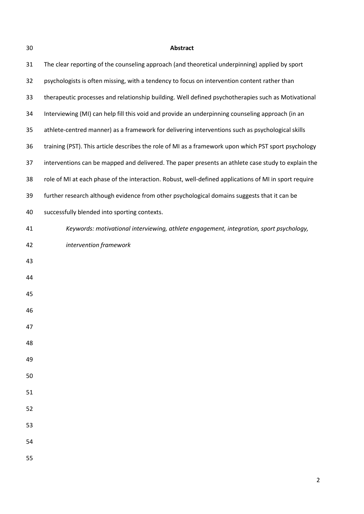**Abstract** The clear reporting of the counseling approach (and theoretical underpinning) applied by sport 32 psychologists is often missing, with a tendency to focus on intervention content rather than therapeutic processes and relationship building. Well defined psychotherapies such as Motivational Interviewing (MI) can help fill this void and provide an underpinning counseling approach (in an athlete-centred manner) as a framework for delivering interventions such as psychological skills training (PST). This article describes the role of MI as a framework upon which PST sport psychology interventions can be mapped and delivered. The paper presents an athlete case study to explain the role of MI at each phase of the interaction. Robust, well-defined applications of MI in sport require further research although evidence from other psychological domains suggests that it can be successfully blended into sporting contexts. *Keywords: motivational interviewing, athlete engagement, integration, sport psychology, intervention framework*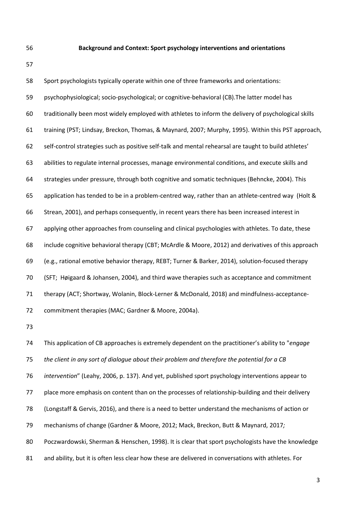#### **Background and Context: Sport psychology interventions and orientations**

 Sport psychologists typically operate within one of three frameworks and orientations: psychophysiological; socio-psychological; or cognitive-behavioral (CB).The latter model has traditionally been most widely employed with athletes to inform the delivery of psychological skills training (PST; Lindsay, Breckon, Thomas, & Maynard, 2007; Murphy, 1995). Within this PST approach, self-control strategies such as positive self-talk and mental rehearsal are taught to build athletes' abilities to regulate internal processes, manage environmental conditions, and execute skills and strategies under pressure, through both cognitive and somatic techniques (Behncke, 2004). This application has tended to be in a problem-centred way, rather than an athlete-centred way (Holt & Strean, 2001), and perhaps consequently, in recent years there has been increased interest in applying other approaches from counseling and clinical psychologies with athletes. To date, these include cognitive behavioral therapy (CBT; McArdle & Moore, 2012) and derivatives of this approach (e.g., rational emotive behavior therapy, REBT; Turner & Barker, 2014), solution-focused therapy (SFT; Høigaard & Johansen, 2004), and third wave therapies such as acceptance and commitment therapy (ACT; Shortway, Wolanin, Block-Lerner & McDonald, 2018) and mindfulness-acceptance-commitment therapies (MAC; Gardner & Moore, 2004a).

 This application of CB approaches is extremely dependent on the practitioner's ability to "*engage the client in any sort of dialogue about their problem and therefore the potential for a CB intervention*" (Leahy, 2006, p. 137). And yet, published sport psychology interventions appear to place more emphasis on content than on the processes of relationship-building and their delivery (Longstaff & Gervis, 2016), and there is a need to better understand the mechanisms of action or mechanisms of change (Gardner & Moore, 2012; Mack, Breckon, Butt & Maynard, 2017*;*  Poczwardowski, Sherman & Henschen, 1998). It is clear that sport psychologists have the knowledge and ability, but it is often less clear how these are delivered in conversations with athletes. For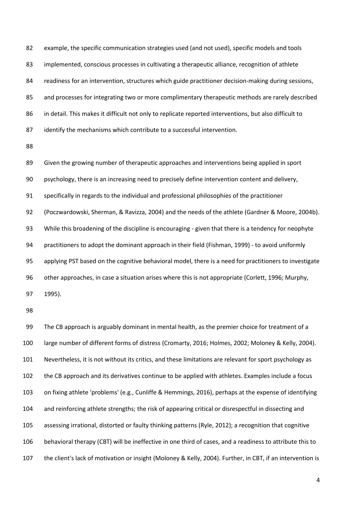example, the specific communication strategies used (and not used), specific models and tools implemented, conscious processes in cultivating a therapeutic alliance, recognition of athlete readiness for an intervention, structures which guide practitioner decision-making during sessions, 85 and processes for integrating two or more complimentary therapeutic methods are rarely described in detail. This makes it difficult not only to replicate reported interventions, but also difficult to identify the mechanisms which contribute to a successful intervention.

 Given the growing number of therapeutic approaches and interventions being applied in sport psychology, there is an increasing need to precisely define intervention content and delivery, specifically in regards to the individual and professional philosophies of the practitioner (Poczwardowski, Sherman, & Ravizza, 2004) and the needs of the athlete (Gardner & Moore, 2004b). While this broadening of the discipline is encouraging - given that there is a tendency for neophyte practitioners to adopt the dominant approach in their field (Fishman, 1999) - to avoid uniformly applying PST based on the cognitive behavioral model, there is a need for practitioners to investigate other approaches, in case a situation arises where this is not appropriate (Corlett, 1996; Murphy, 1995).

 The CB approach is arguably dominant in mental health, as the premier choice for treatment of a large number of different forms of distress (Cromarty, 2016; Holmes, 2002; Moloney & Kelly, 2004). Nevertheless, it is not without its critics, and these limitations are relevant for sport psychology as the CB approach and its derivatives continue to be applied with athletes. Examples include a focus on fixing athlete 'problems' (e.g., Cunliffe & Hemmings, 2016), perhaps at the expense of identifying and reinforcing athlete strengths; the risk of appearing critical or disrespectful in dissecting and assessing irrational, distorted or faulty thinking patterns (Ryle, 2012); a recognition that cognitive behavioral therapy (CBT) will be ineffective in one third of cases, and a readiness to attribute this to the client's lack of motivation or insight (Moloney & Kelly, 2004). Further, in CBT, if an intervention is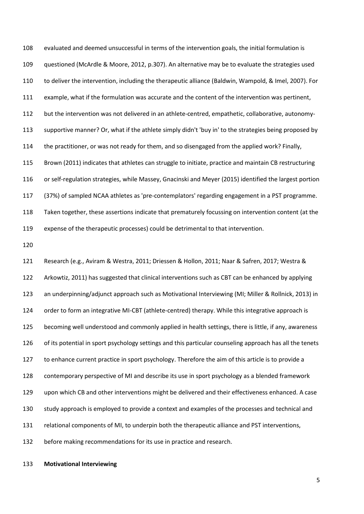evaluated and deemed unsuccessful in terms of the intervention goals, the initial formulation is questioned (McArdle & Moore, 2012, p.307). An alternative may be to evaluate the strategies used to deliver the intervention, including the therapeutic alliance (Baldwin, Wampold, & Imel, 2007). For example, what if the formulation was accurate and the content of the intervention was pertinent, but the intervention was not delivered in an athlete-centred, empathetic, collaborative, autonomy- supportive manner? Or, what if the athlete simply didn't 'buy in' to the strategies being proposed by the practitioner, or was not ready for them, and so disengaged from the applied work? Finally, Brown (2011) indicates that athletes can struggle to initiate, practice and maintain CB restructuring or self-regulation strategies, while Massey, Gnacinski and Meyer (2015) identified the largest portion (37%) of sampled NCAA athletes as 'pre-contemplators' regarding engagement in a PST programme. Taken together, these assertions indicate that prematurely focussing on intervention content (at the expense of the therapeutic processes) could be detrimental to that intervention.

 Research (e.g., Aviram & Westra, 2011; Driessen & Hollon, 2011; Naar & Safren, 2017; Westra & Arkowtiz, 2011) has suggested that clinical interventions such as CBT can be enhanced by applying an underpinning/adjunct approach such as Motivational Interviewing (MI; Miller & Rollnick, 2013) in order to form an integrative MI-CBT (athlete-centred) therapy. While this integrative approach is becoming well understood and commonly applied in health settings, there is little, if any, awareness of its potential in sport psychology settings and this particular counseling approach has all the tenets to enhance current practice in sport psychology. Therefore the aim of this article is to provide a contemporary perspective of MI and describe its use in sport psychology as a blended framework upon which CB and other interventions might be delivered and their effectiveness enhanced. A case study approach is employed to provide a context and examples of the processes and technical and relational components of MI, to underpin both the therapeutic alliance and PST interventions, before making recommendations for its use in practice and research.

#### **Motivational Interviewing**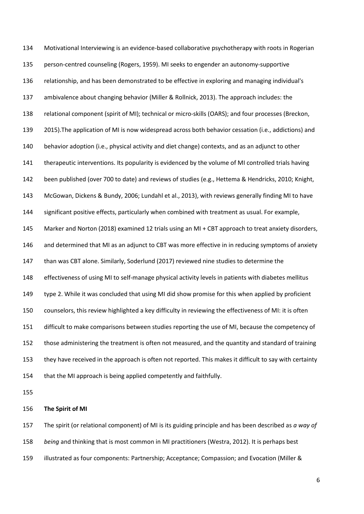Motivational Interviewing is an evidence-based collaborative psychotherapy with roots in Rogerian person-centred counseling (Rogers, 1959). MI seeks to engender an autonomy-supportive relationship, and has been demonstrated to be effective in exploring and managing individual's ambivalence about changing behavior (Miller & Rollnick, 2013). The approach includes: the relational component (spirit of MI); technical or micro-skills (OARS); and four processes (Breckon, 2015).The application of MI is now widespread across both behavior cessation (i.e., addictions) and behavior adoption (i.e., physical activity and diet change) contexts, and as an adjunct to other therapeutic interventions. Its popularity is evidenced by the volume of MI controlled trials having been published (over 700 to date) and reviews of studies (e.g., Hettema & Hendricks, 2010; Knight, McGowan, Dickens & Bundy, 2006; Lundahl et al., 2013), with reviews generally finding MI to have significant positive effects, particularly when combined with treatment as usual. For example, Marker and Norton (2018) examined 12 trials using an MI + CBT approach to treat anxiety disorders, 146 and determined that MI as an adjunct to CBT was more effective in in reducing symptoms of anxiety than was CBT alone. Similarly, Soderlund (2017) reviewed nine studies to determine the effectiveness of using MI to self-manage physical activity levels in patients with diabetes mellitus type 2. While it was concluded that using MI did show promise for this when applied by proficient counselors, this review highlighted a key difficulty in reviewing the effectiveness of MI: it is often 151 difficult to make comparisons between studies reporting the use of MI, because the competency of those administering the treatment is often not measured, and the quantity and standard of training they have received in the approach is often not reported. This makes it difficult to say with certainty that the MI approach is being applied competently and faithfully.

#### **The Spirit of MI**

 The spirit (or relational component) of MI is its guiding principle and has been described as *a way of being* and thinking that is most common in MI practitioners (Westra, 2012). It is perhaps best illustrated as four components: Partnership; Acceptance; Compassion; and Evocation (Miller &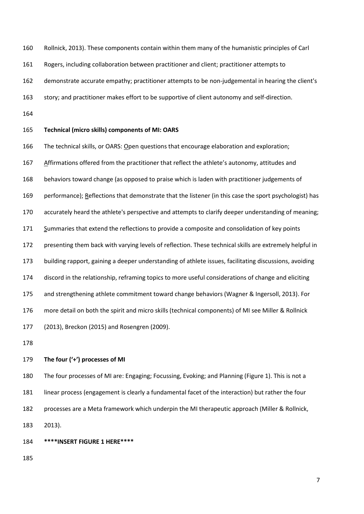Rollnick, 2013). These components contain within them many of the humanistic principles of Carl

Rogers, including collaboration between practitioner and client; practitioner attempts to

demonstrate accurate empathy; practitioner attempts to be non-judgemental in hearing the client's

- 163 story; and practitioner makes effort to be supportive of client autonomy and self-direction.
- 

## **Technical (micro skills) components of MI: OARS**

166 The technical skills, or OARS: Open questions that encourage elaboration and exploration;

167 Affirmations offered from the practitioner that reflect the athlete's autonomy, attitudes and

behaviors toward change (as opposed to praise which is laden with practitioner judgements of

169 performance); Reflections that demonstrate that the listener (in this case the sport psychologist) has

accurately heard the athlete's perspective and attempts to clarify deeper understanding of meaning;

Summaries that extend the reflections to provide a composite and consolidation of key points

presenting them back with varying levels of reflection. These technical skills are extremely helpful in

building rapport, gaining a deeper understanding of athlete issues, facilitating discussions, avoiding

discord in the relationship, reframing topics to more useful considerations of change and eliciting

and strengthening athlete commitment toward change behaviors (Wagner & Ingersoll, 2013). For

more detail on both the spirit and micro skills (technical components) of MI see Miller & Rollnick

(2013), Breckon (2015) and Rosengren (2009).

#### **The four ('+') processes of MI**

 The four processes of MI are: Engaging; Focussing, Evoking; and Planning (Figure 1). This is not a linear process (engagement is clearly a fundamental facet of the interaction) but rather the four processes are a Meta framework which underpin the MI therapeutic approach (Miller & Rollnick, 2013).

**\*\*\*\*INSERT FIGURE 1 HERE\*\*\*\***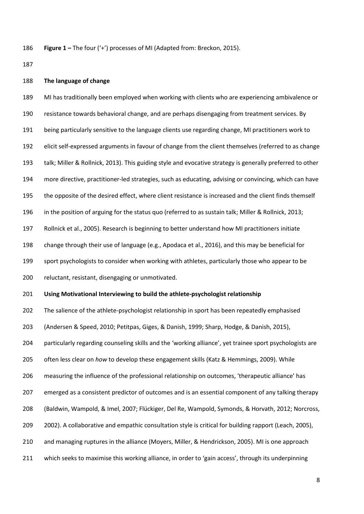**Figure 1 –** The four ('+') processes of MI (Adapted from: Breckon, 2015).

#### **The language of change**

 MI has traditionally been employed when working with clients who are experiencing ambivalence or resistance towards behavioral change, and are perhaps disengaging from treatment services. By being particularly sensitive to the language clients use regarding change, MI practitioners work to elicit self-expressed arguments in favour of change from the client themselves (referred to as change talk; Miller & Rollnick, 2013). This guiding style and evocative strategy is generally preferred to other more directive, practitioner-led strategies, such as educating, advising or convincing, which can have the opposite of the desired effect, where client resistance is increased and the client finds themself in the position of arguing for the status quo (referred to as sustain talk; Miller & Rollnick, 2013; Rollnick et al., 2005). Research is beginning to better understand how MI practitioners initiate change through their use of language (e.g., Apodaca et al., 2016), and this may be beneficial for 199 sport psychologists to consider when working with athletes, particularly those who appear to be reluctant, resistant, disengaging or unmotivated. **Using Motivational Interviewing to build the athlete-psychologist relationship** 202 The salience of the athlete-psychologist relationship in sport has been repeatedly emphasised (Andersen & Speed, 2010; Petitpas, Giges, & Danish, 1999; Sharp, Hodge, & Danish, 2015), 204 particularly regarding counseling skills and the 'working alliance', yet trainee sport psychologists are often less clear on *how* to develop these engagement skills (Katz & Hemmings, 2009). While measuring the influence of the professional relationship on outcomes, 'therapeutic alliance' has emerged as a consistent predictor of outcomes and is an essential component of any talking therapy (Baldwin, Wampold, & Imel, 2007; Flückiger, Del Re, Wampold, Symonds, & Horvath, 2012; Norcross, 2002). A collaborative and empathic consultation style is critical for building rapport (Leach, 2005), and managing ruptures in the alliance (Moyers, Miller, & Hendrickson, 2005). MI is one approach

which seeks to maximise this working alliance, in order to 'gain access', through its underpinning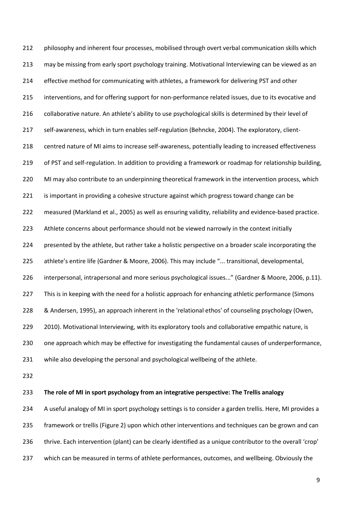212 philosophy and inherent four processes, mobilised through overt verbal communication skills which may be missing from early sport psychology training. Motivational Interviewing can be viewed as an effective method for communicating with athletes, a framework for delivering PST and other interventions, and for offering support for non-performance related issues, due to its evocative and 216 collaborative nature. An athlete's ability to use psychological skills is determined by their level of self-awareness, which in turn enables self-regulation (Behncke, 2004). The exploratory, client- centred nature of MI aims to increase self-awareness, potentially leading to increased effectiveness 219 of PST and self-regulation. In addition to providing a framework or roadmap for relationship building, 220 MI may also contribute to an underpinning theoretical framework in the intervention process, which 221 is important in providing a cohesive structure against which progress toward change can be measured (Markland et al., 2005) as well as ensuring validity, reliability and evidence-based practice. 223 Athlete concerns about performance should not be viewed narrowly in the context initially 224 presented by the athlete, but rather take a holistic perspective on a broader scale incorporating the athlete's entire life (Gardner & Moore, 2006). This may include "... transitional, developmental, interpersonal, intrapersonal and more serious psychological issues..." (Gardner & Moore, 2006, p.11). 227 This is in keeping with the need for a holistic approach for enhancing athletic performance (Simons & Andersen, 1995), an approach inherent in the 'relational ethos' of counseling psychology (Owen, 229 2010). Motivational Interviewing, with its exploratory tools and collaborative empathic nature, is one approach which may be effective for investigating the fundamental causes of underperformance, while also developing the personal and psychological wellbeing of the athlete.

#### **The role of MI in sport psychology from an integrative perspective: The Trellis analogy**

 A useful analogy of MI in sport psychology settings is to consider a garden trellis. Here, MI provides a framework or trellis (Figure 2) upon which other interventions and techniques can be grown and can 236 thrive. Each intervention (plant) can be clearly identified as a unique contributor to the overall 'crop' which can be measured in terms of athlete performances, outcomes, and wellbeing. Obviously the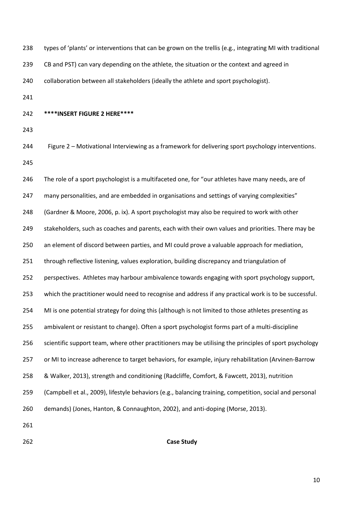| 238 | types of 'plants' or interventions that can be grown on the trellis (e.g., integrating MI with traditional |
|-----|------------------------------------------------------------------------------------------------------------|
| 239 | CB and PST) can vary depending on the athlete, the situation or the context and agreed in                  |
| 240 | collaboration between all stakeholders (ideally the athlete and sport psychologist).                       |
| 241 |                                                                                                            |
| 242 | ****INSERT FIGURE 2 HERE****                                                                               |
| 243 |                                                                                                            |
| 244 | Figure 2 - Motivational Interviewing as a framework for delivering sport psychology interventions.         |
| 245 |                                                                                                            |
| 246 | The role of a sport psychologist is a multifaceted one, for "our athletes have many needs, are of          |
| 247 | many personalities, and are embedded in organisations and settings of varying complexities"                |
| 248 | (Gardner & Moore, 2006, p. ix). A sport psychologist may also be required to work with other               |
| 249 | stakeholders, such as coaches and parents, each with their own values and priorities. There may be         |
| 250 | an element of discord between parties, and MI could prove a valuable approach for mediation,               |
| 251 | through reflective listening, values exploration, building discrepancy and triangulation of                |
| 252 | perspectives. Athletes may harbour ambivalence towards engaging with sport psychology support,             |
| 253 | which the practitioner would need to recognise and address if any practical work is to be successful.      |
| 254 | MI is one potential strategy for doing this (although is not limited to those athletes presenting as       |
| 255 | ambivalent or resistant to change). Often a sport psychologist forms part of a multi-discipline            |
| 256 | scientific support team, where other practitioners may be utilising the principles of sport psychology     |
| 257 | or MI to increase adherence to target behaviors, for example, injury rehabilitation (Arvinen-Barrow        |
| 258 | & Walker, 2013), strength and conditioning (Radcliffe, Comfort, & Fawcett, 2013), nutrition                |
| 259 | (Campbell et al., 2009), lifestyle behaviors (e.g., balancing training, competition, social and personal   |
| 260 | demands) (Jones, Hanton, & Connaughton, 2002), and anti-doping (Morse, 2013).                              |
| 261 |                                                                                                            |

**Case Study**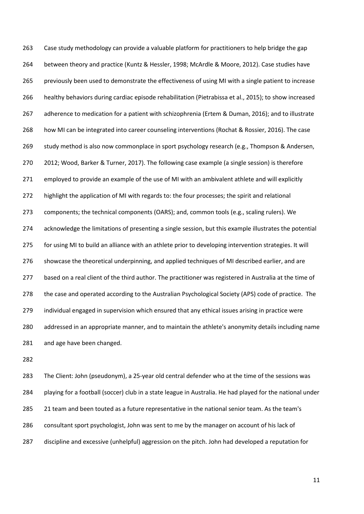Case study methodology can provide a valuable platform for practitioners to help bridge the gap between theory and practice (Kuntz & Hessler, 1998; McArdle & Moore, 2012). Case studies have previously been used to demonstrate the effectiveness of using MI with a single patient to increase healthy behaviors during cardiac episode rehabilitation (Pietrabissa et al., 2015); to show increased adherence to medication for a patient with schizophrenia (Ertem & Duman, 2016); and to illustrate how MI can be integrated into career counseling interventions (Rochat & Rossier, 2016). The case study method is also now commonplace in sport psychology research (e.g., Thompson & Andersen, 2012; Wood, Barker & Turner, 2017). The following case example (a single session) is therefore employed to provide an example of the use of MI with an ambivalent athlete and will explicitly highlight the application of MI with regards to: the four processes; the spirit and relational components; the technical components (OARS); and, common tools (e.g., scaling rulers). We acknowledge the limitations of presenting a single session, but this example illustrates the potential for using MI to build an alliance with an athlete prior to developing intervention strategies. It will 276 showcase the theoretical underpinning, and applied techniques of MI described earlier, and are 277 based on a real client of the third author. The practitioner was registered in Australia at the time of the case and operated according to the Australian Psychological Society (APS) code of practice. The individual engaged in supervision which ensured that any ethical issues arising in practice were addressed in an appropriate manner, and to maintain the athlete's anonymity details including name and age have been changed.

 The Client: John (pseudonym), a 25-year old central defender who at the time of the sessions was playing for a football (soccer) club in a state league in Australia. He had played for the national under 21 team and been touted as a future representative in the national senior team. As the team's consultant sport psychologist, John was sent to me by the manager on account of his lack of discipline and excessive (unhelpful) aggression on the pitch. John had developed a reputation for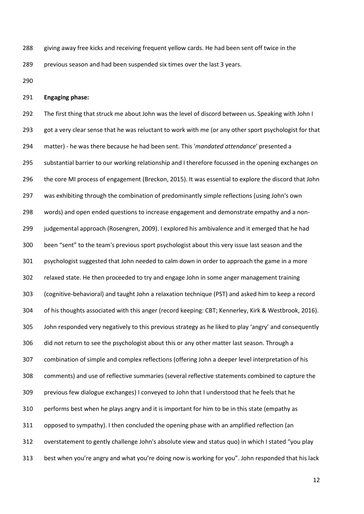giving away free kicks and receiving frequent yellow cards. He had been sent off twice in the previous season and had been suspended six times over the last 3 years.

**Engaging phase:** 

 The first thing that struck me about John was the level of discord between us. Speaking with John I 293 got a very clear sense that he was reluctant to work with me (or any other sport psychologist for that matter) - he was there because he had been sent. This '*mandated attendance*' presented a substantial barrier to our working relationship and I therefore focussed in the opening exchanges on the core MI process of engagement (Breckon, 2015). It was essential to explore the discord that John was exhibiting through the combination of predominantly simple reflections (using John's own words) and open ended questions to increase engagement and demonstrate empathy and a non- judgemental approach (Rosengren, 2009). I explored his ambivalence and it emerged that he had been "sent" to the team's previous sport psychologist about this very issue last season and the psychologist suggested that John needed to calm down in order to approach the game in a more relaxed state. He then proceeded to try and engage John in some anger management training (cognitive-behavioral) and taught John a relaxation technique (PST) and asked him to keep a record of his thoughts associated with this anger (record keeping: CBT; Kennerley, Kirk & Westbrook, 2016). John responded very negatively to this previous strategy as he liked to play 'angry' and consequently did not return to see the psychologist about this or any other matter last season. Through a combination of simple and complex reflections (offering John a deeper level interpretation of his comments) and use of reflective summaries (several reflective statements combined to capture the previous few dialogue exchanges) I conveyed to John that I understood that he feels that he performs best when he plays angry and it is important for him to be in this state (empathy as opposed to sympathy). I then concluded the opening phase with an amplified reflection (an overstatement to gently challenge John's absolute view and status quo) in which I stated "you play best when you're angry and what you're doing now is working for you". John responded that his lack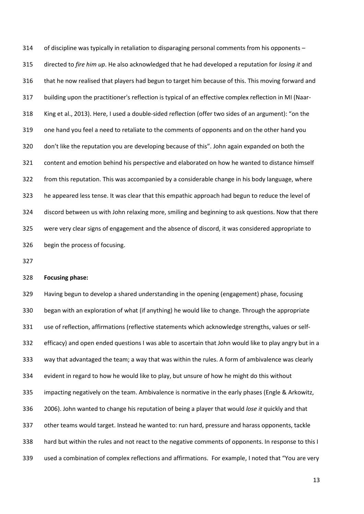of discipline was typically in retaliation to disparaging personal comments from his opponents – directed to *fire him up*. He also acknowledged that he had developed a reputation for *losing it* and that he now realised that players had begun to target him because of this. This moving forward and building upon the practitioner's reflection is typical of an effective complex reflection in MI (Naar- King et al., 2013). Here, I used a double-sided reflection (offer two sides of an argument): "on the one hand you feel a need to retaliate to the comments of opponents and on the other hand you don't like the reputation you are developing because of this". John again expanded on both the content and emotion behind his perspective and elaborated on how he wanted to distance himself from this reputation. This was accompanied by a considerable change in his body language, where he appeared less tense. It was clear that this empathic approach had begun to reduce the level of discord between us with John relaxing more, smiling and beginning to ask questions. Now that there were very clear signs of engagement and the absence of discord, it was considered appropriate to begin the process of focusing.

## **Focusing phase:**

 Having begun to develop a shared understanding in the opening (engagement) phase, focusing began with an exploration of what (if anything) he would like to change. Through the appropriate use of reflection, affirmations (reflective statements which acknowledge strengths, values or self-332 efficacy) and open ended questions I was able to ascertain that John would like to play angry but in a way that advantaged the team; a way that was within the rules. A form of ambivalence was clearly evident in regard to how he would like to play, but unsure of how he might do this without impacting negatively on the team. Ambivalence is normative in the early phases (Engle & Arkowitz, 2006). John wanted to change his reputation of being a player that would *lose it* quickly and that other teams would target. Instead he wanted to: run hard, pressure and harass opponents, tackle hard but within the rules and not react to the negative comments of opponents. In response to this I used a combination of complex reflections and affirmations. For example, I noted that "You are very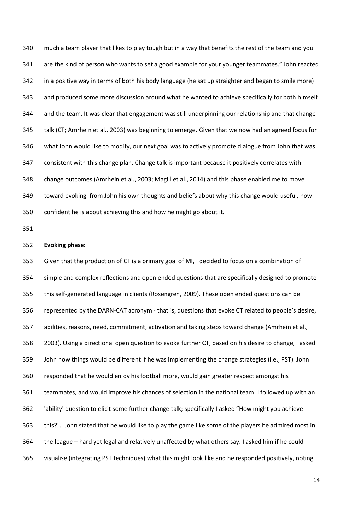much a team player that likes to play tough but in a way that benefits the rest of the team and you are the kind of person who wants to set a good example for your younger teammates." John reacted in a positive way in terms of both his body language (he sat up straighter and began to smile more) and produced some more discussion around what he wanted to achieve specifically for both himself and the team. It was clear that engagement was still underpinning our relationship and that change talk (CT; Amrhein et al., 2003) was beginning to emerge. Given that we now had an agreed focus for what John would like to modify, our next goal was to actively promote dialogue from John that was consistent with this change plan. Change talk is important because it positively correlates with change outcomes (Amrhein et al., 2003; Magill et al., 2014) and this phase enabled me to move toward evoking from John his own thoughts and beliefs about why this change would useful, how confident he is about achieving this and how he might go about it.

#### **Evoking phase:**

 Given that the production of CT is a primary goal of MI, I decided to focus on a combination of simple and complex reflections and open ended questions that are specifically designed to promote this self-generated language in clients (Rosengren, 2009). These open ended questions can be represented by the DARN-CAT acronym - that is, questions that evoke CT related to people's desire, 357 abilities, reasons, need, commitment, activation and taking steps toward change (Amrhein et al., 2003). Using a directional open question to evoke further CT, based on his desire to change, I asked John how things would be different if he was implementing the change strategies (i.e., PST). John responded that he would enjoy his football more, would gain greater respect amongst his teammates, and would improve his chances of selection in the national team. I followed up with an 'ability' question to elicit some further change talk; specifically I asked "How might you achieve this?". John stated that he would like to play the game like some of the players he admired most in the league – hard yet legal and relatively unaffected by what others say. I asked him if he could visualise (integrating PST techniques) what this might look like and he responded positively, noting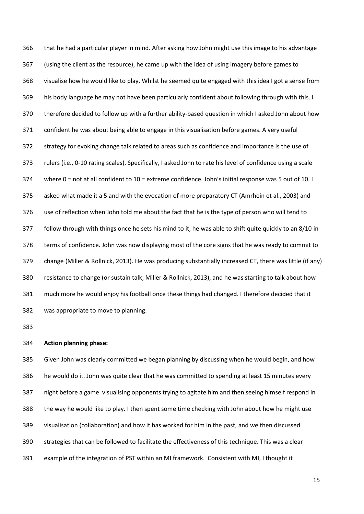that he had a particular player in mind. After asking how John might use this image to his advantage (using the client as the resource), he came up with the idea of using imagery before games to visualise how he would like to play. Whilst he seemed quite engaged with this idea I got a sense from his body language he may not have been particularly confident about following through with this. I therefore decided to follow up with a further ability-based question in which I asked John about how confident he was about being able to engage in this visualisation before games. A very useful strategy for evoking change talk related to areas such as confidence and importance is the use of rulers (i.e., 0-10 rating scales). Specifically, I asked John to rate his level of confidence using a scale where 0 = not at all confident to 10 = extreme confidence. John's initial response was 5 out of 10. I asked what made it a 5 and with the evocation of more preparatory CT (Amrhein et al., 2003) and use of reflection when John told me about the fact that he is the type of person who will tend to follow through with things once he sets his mind to it, he was able to shift quite quickly to an 8/10 in terms of confidence. John was now displaying most of the core signs that he was ready to commit to change (Miller & Rollnick, 2013). He was producing substantially increased CT, there was little (if any) resistance to change (or sustain talk; Miller & Rollnick, 2013), and he was starting to talk about how much more he would enjoy his football once these things had changed. I therefore decided that it was appropriate to move to planning.

## **Action planning phase:**

 Given John was clearly committed we began planning by discussing when he would begin, and how he would do it. John was quite clear that he was committed to spending at least 15 minutes every night before a game visualising opponents trying to agitate him and then seeing himself respond in the way he would like to play. I then spent some time checking with John about how he might use visualisation (collaboration) and how it has worked for him in the past, and we then discussed strategies that can be followed to facilitate the effectiveness of this technique. This was a clear example of the integration of PST within an MI framework. Consistent with MI, I thought it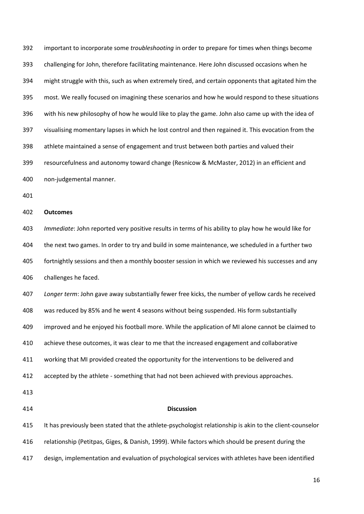important to incorporate some *troubleshooting* in order to prepare for times when things become challenging for John, therefore facilitating maintenance. Here John discussed occasions when he might struggle with this, such as when extremely tired, and certain opponents that agitated him the most. We really focused on imagining these scenarios and how he would respond to these situations with his new philosophy of how he would like to play the game. John also came up with the idea of visualising momentary lapses in which he lost control and then regained it. This evocation from the athlete maintained a sense of engagement and trust between both parties and valued their resourcefulness and autonomy toward change (Resnicow & McMaster, 2012) in an efficient and non-judgemental manner.

#### **Outcomes**

 *Immediate*: John reported very positive results in terms of his ability to play how he would like for the next two games. In order to try and build in some maintenance, we scheduled in a further two fortnightly sessions and then a monthly booster session in which we reviewed his successes and any challenges he faced.

 *Longer term*: John gave away substantially fewer free kicks, the number of yellow cards he received was reduced by 85% and he went 4 seasons without being suspended. His form substantially improved and he enjoyed his football more. While the application of MI alone cannot be claimed to achieve these outcomes, it was clear to me that the increased engagement and collaborative working that MI provided created the opportunity for the interventions to be delivered and accepted by the athlete - something that had not been achieved with previous approaches.

#### **Discussion**

 It has previously been stated that the athlete-psychologist relationship is akin to the client-counselor relationship (Petitpas, Giges, & Danish, 1999). While factors which should be present during the

design, implementation and evaluation of psychological services with athletes have been identified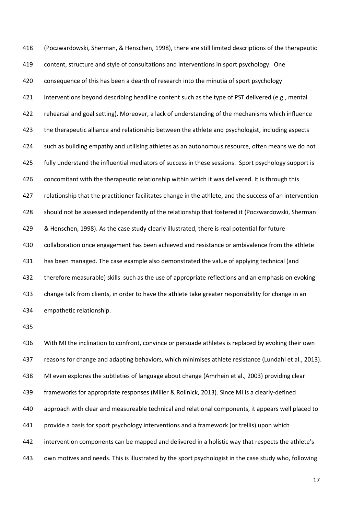(Poczwardowski, Sherman, & Henschen, 1998), there are still limited descriptions of the therapeutic content, structure and style of consultations and interventions in sport psychology. One consequence of this has been a dearth of research into the minutia of sport psychology 421 interventions beyond describing headline content such as the type of PST delivered (e.g., mental rehearsal and goal setting). Moreover, a lack of understanding of the mechanisms which influence the therapeutic alliance and relationship between the athlete and psychologist, including aspects such as building empathy and utilising athletes as an autonomous resource, often means we do not 425 fully understand the influential mediators of success in these sessions. Sport psychology support is concomitant with the therapeutic relationship within which it was delivered. It is through this 427 relationship that the practitioner facilitates change in the athlete, and the success of an intervention should not be assessed independently of the relationship that fostered it (Poczwardowski, Sherman & Henschen, 1998). As the case study clearly illustrated, there is real potential for future collaboration once engagement has been achieved and resistance or ambivalence from the athlete has been managed. The case example also demonstrated the value of applying technical (and therefore measurable) skills such as the use of appropriate reflections and an emphasis on evoking change talk from clients, in order to have the athlete take greater responsibility for change in an empathetic relationship.

 With MI the inclination to confront, convince or persuade athletes is replaced by evoking their own reasons for change and adapting behaviors, which minimises athlete resistance (Lundahl et al., 2013). MI even explores the subtleties of language about change (Amrhein et al., 2003) providing clear frameworks for appropriate responses (Miller & Rollnick, 2013). Since MI is a clearly-defined approach with clear and measureable technical and relational components, it appears well placed to provide a basis for sport psychology interventions and a framework (or trellis) upon which intervention components can be mapped and delivered in a holistic way that respects the athlete's own motives and needs. This is illustrated by the sport psychologist in the case study who, following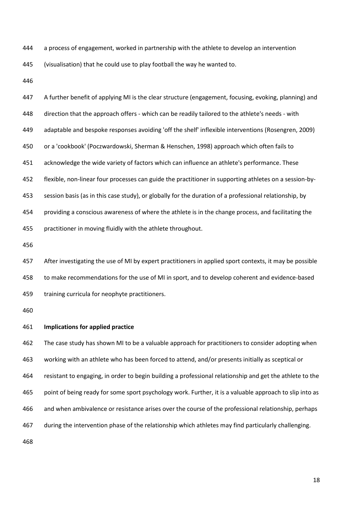a process of engagement, worked in partnership with the athlete to develop an intervention (visualisation) that he could use to play football the way he wanted to.

447 A further benefit of applying MI is the clear structure (engagement, focusing, evoking, planning) and direction that the approach offers - which can be readily tailored to the athlete's needs - with adaptable and bespoke responses avoiding 'off the shelf' inflexible interventions (Rosengren, 2009) or a 'cookbook' (Poczwardowski, Sherman & Henschen, 1998) approach which often fails to acknowledge the wide variety of factors which can influence an athlete's performance. These flexible, non-linear four processes can guide the practitioner in supporting athletes on a session-by- session basis (as in this case study), or globally for the duration of a professional relationship, by providing a conscious awareness of where the athlete is in the change process, and facilitating the practitioner in moving fluidly with the athlete throughout.

 After investigating the use of MI by expert practitioners in applied sport contexts, it may be possible to make recommendations for the use of MI in sport, and to develop coherent and evidence-based training curricula for neophyte practitioners.

#### **Implications for applied practice**

 The case study has shown MI to be a valuable approach for practitioners to consider adopting when working with an athlete who has been forced to attend, and/or presents initially as sceptical or resistant to engaging, in order to begin building a professional relationship and get the athlete to the point of being ready for some sport psychology work. Further, it is a valuable approach to slip into as and when ambivalence or resistance arises over the course of the professional relationship, perhaps during the intervention phase of the relationship which athletes may find particularly challenging.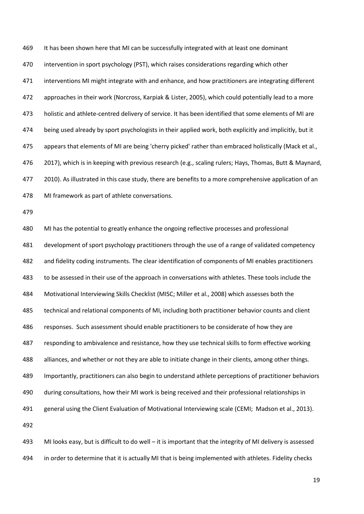It has been shown here that MI can be successfully integrated with at least one dominant intervention in sport psychology (PST), which raises considerations regarding which other interventions MI might integrate with and enhance, and how practitioners are integrating different approaches in their work (Norcross, Karpiak & Lister, 2005), which could potentially lead to a more holistic and athlete-centred delivery of service. It has been identified that some elements of MI are being used already by sport psychologists in their applied work, both explicitly and implicitly, but it appears that elements of MI are being 'cherry picked' rather than embraced holistically (Mack et al., 2017), which is in keeping with previous research (e.g., scaling rulers; Hays, Thomas, Butt & Maynard, 2010). As illustrated in this case study, there are benefits to a more comprehensive application of an MI framework as part of athlete conversations.

480 MI has the potential to greatly enhance the ongoing reflective processes and professional development of sport psychology practitioners through the use of a range of validated competency and fidelity coding instruments. The clear identification of components of MI enables practitioners to be assessed in their use of the approach in conversations with athletes. These tools include the Motivational Interviewing Skills Checklist (MISC; Miller et al., 2008) which assesses both the technical and relational components of MI, including both practitioner behavior counts and client responses. Such assessment should enable practitioners to be considerate of how they are responding to ambivalence and resistance, how they use technical skills to form effective working alliances, and whether or not they are able to initiate change in their clients, among other things. Importantly, practitioners can also begin to understand athlete perceptions of practitioner behaviors during consultations, how their MI work is being received and their professional relationships in general using the Client Evaluation of Motivational Interviewing scale (CEMI; Madson et al., 2013). 

 MI looks easy, but is difficult to do well – it is important that the integrity of MI delivery is assessed in order to determine that it is actually MI that is being implemented with athletes. Fidelity checks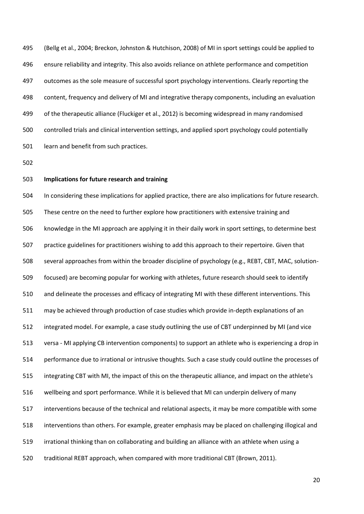(Bellg et al., 2004; Breckon, Johnston & Hutchison, 2008) of MI in sport settings could be applied to ensure reliability and integrity. This also avoids reliance on athlete performance and competition outcomes as the sole measure of successful sport psychology interventions. Clearly reporting the content, frequency and delivery of MI and integrative therapy components, including an evaluation of the therapeutic alliance (Fluckiger et al., 2012) is becoming widespread in many randomised controlled trials and clinical intervention settings, and applied sport psychology could potentially learn and benefit from such practices.

## **Implications for future research and training**

 In considering these implications for applied practice, there are also implications for future research. These centre on the need to further explore how practitioners with extensive training and knowledge in the MI approach are applying it in their daily work in sport settings, to determine best practice guidelines for practitioners wishing to add this approach to their repertoire. Given that several approaches from within the broader discipline of psychology (e.g., REBT, CBT, MAC, solution- focused) are becoming popular for working with athletes, future research should seek to identify and delineate the processes and efficacy of integrating MI with these different interventions. This may be achieved through production of case studies which provide in-depth explanations of an integrated model. For example, a case study outlining the use of CBT underpinned by MI (and vice versa - MI applying CB intervention components) to support an athlete who is experiencing a drop in performance due to irrational or intrusive thoughts. Such a case study could outline the processes of integrating CBT with MI, the impact of this on the therapeutic alliance, and impact on the athlete's wellbeing and sport performance. While it is believed that MI can underpin delivery of many interventions because of the technical and relational aspects, it may be more compatible with some interventions than others. For example, greater emphasis may be placed on challenging illogical and irrational thinking than on collaborating and building an alliance with an athlete when using a traditional REBT approach, when compared with more traditional CBT (Brown, 2011).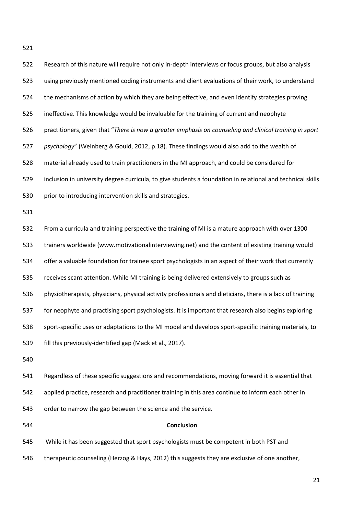| 522 | Research of this nature will require not only in-depth interviews or focus groups, but also analysis       |
|-----|------------------------------------------------------------------------------------------------------------|
| 523 | using previously mentioned coding instruments and client evaluations of their work, to understand          |
| 524 | the mechanisms of action by which they are being effective, and even identify strategies proving           |
| 525 | ineffective. This knowledge would be invaluable for the training of current and neophyte                   |
| 526 | practitioners, given that "There is now a greater emphasis on counseling and clinical training in sport    |
| 527 | psychology" (Weinberg & Gould, 2012, p.18). These findings would also add to the wealth of                 |
| 528 | material already used to train practitioners in the MI approach, and could be considered for               |
| 529 | inclusion in university degree curricula, to give students a foundation in relational and technical skills |
| 530 | prior to introducing intervention skills and strategies.                                                   |
| 531 |                                                                                                            |
| 532 | From a curricula and training perspective the training of MI is a mature approach with over 1300           |
| 533 | trainers worldwide (www.motivationalinterviewing.net) and the content of existing training would           |
| 534 | offer a valuable foundation for trainee sport psychologists in an aspect of their work that currently      |
| 535 | receives scant attention. While MI training is being delivered extensively to groups such as               |
| 536 | physiotherapists, physicians, physical activity professionals and dieticians, there is a lack of training  |
| 537 | for neophyte and practising sport psychologists. It is important that research also begins exploring       |
| 538 | sport-specific uses or adaptations to the MI model and develops sport-specific training materials, to      |
| 539 | fill this previously-identified gap (Mack et al., 2017).                                                   |
| 540 |                                                                                                            |
| 541 | Regardless of these specific suggestions and recommendations, moving forward it is essential that          |
| 542 | applied practice, research and practitioner training in this area continue to inform each other in         |
| 543 | order to narrow the gap between the science and the service.                                               |
| 544 | Conclusion                                                                                                 |
| 545 | While it has been suggested that sport psychologists must be competent in both PST and                     |
| 546 | therapeutic counseling (Herzog & Hays, 2012) this suggests they are exclusive of one another,              |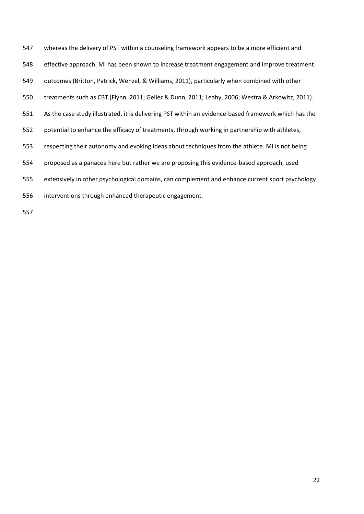whereas the delivery of PST within a counseling framework appears to be a more efficient and effective approach. MI has been shown to increase treatment engagement and improve treatment outcomes (Britton, Patrick, Wenzel, & Williams, 2011), particularly when combined with other treatments such as CBT (Flynn, 2011; Geller & Dunn, 2011; Leahy, 2006; Westra & Arkowitz, 2011). As the case study illustrated, it is delivering PST within an evidence-based framework which has the potential to enhance the efficacy of treatments, through working in partnership with athletes, respecting their autonomy and evoking ideas about techniques from the athlete. MI is not being proposed as a panacea here but rather we are proposing this evidence-based approach, used extensively in other psychological domains, can complement and enhance current sport psychology interventions through enhanced therapeutic engagement.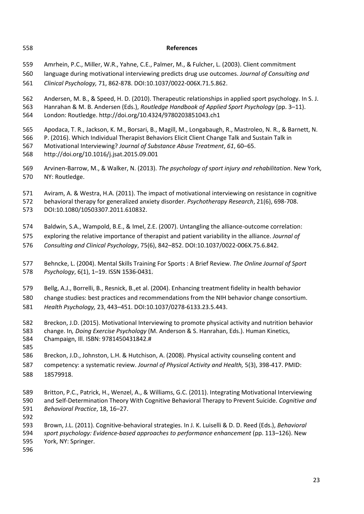## **References**

Amrhein, P.C., Miller, W.R., Yahne, C.E., Palmer, M., & Fulcher, L. (2003). Client commitment

 language during motivational interviewing predicts drug use outcomes. *Journal of Consulting and Clinical Psychology,* 71, 862-878. DOI:10.1037/0022-006X.71.5.862.

 Andersen, M. B., & Speed, H. D. (2010). Therapeutic relationships in applied sport psychology. In S. J. Hanrahan & M. B. Andersen (Eds.), *Routledge Handbook of Applied Sport Psychology* (pp. 3–11). London: Routledge. http://doi.org/10.4324/9780203851043.ch1

 Apodaca, T. R., Jackson, K. M., Borsari, B., Magill, M., Longabaugh, R., Mastroleo, N. R., & Barnett, N. P. (2016). Which Individual Therapist Behaviors Elicit Client Change Talk and Sustain Talk in Motivational Interviewing? *Journal of Substance Abuse Treatment*, *61*, 60–65.

http://doi.org/10.1016/j.jsat.2015.09.001

 Arvinen-Barrow, M., & Walker, N. (2013). *The psychology of sport injury and rehabilitation*. New York, NY: Routledge.

Aviram, A. & Westra, H.A. (2011). The impact of motivational interviewing on resistance in cognitive

- behavioral therapy for generalized anxiety disorder. *Psychotherapy Research*, 21(6), 698-708. DOI:10.1080/10503307.2011.610832.
- Baldwin, S.A., Wampold, B.E., & Imel, Z.E. (2007). Untangling the alliance-outcome correlation:
- exploring the relative importance of therapist and patient variability in the alliance. *Journal of Consulting and Clinical Psychology*, 75(6), 842–852. DOI[:10.1037/0022-006X.75.6.842.](https://doi.org/10.1037/0022-006X.75.6.842)
- Behncke, L. (2004). Mental Skills Training For Sports : A Brief Review. *The Online Journal of Sport*
- *Psychology*, 6(1), 1–19. ISSN 1536-0431.
- Bellg, A.J., Borrelli, B., Resnick, B.,et al. (2004). Enhancing treatment fidelity in health behavior

 change studies: best practices and recommendations from the NIH behavior change consortium. *Health Psychology,* 23, 443–451. DOI:10.1037/0278-6133.23.5.443.

- Breckon, J.D. (2015). Motivational Interviewing to promote physical activity and nutrition behavior change. In*, Doing Exercise Psychology* (M. Anderson & S. Hanrahan, Eds.). Human Kinetics,
- Champaign, Ill. ISBN: 9781450431842.#
- 

 Breckon, J.D., Johnston, L.H. & Hutchison, A. (2008). Physical activity counseling content and competency: a systematic review. *Journal of Physical Activity and Health,* 5(3), 398-417. PMID:

- 18579918.
- Britton, P.C., Patrick, H., Wenzel, A., & Williams, G.C. (2011). Integrating Motivational Interviewing and Self-Determination Theory With Cognitive Behavioral Therapy to Prevent Suicide. *Cognitive and Behavioral Practice*, 18, 16–27.
- 

 Brown, J.L. (2011). Cognitive-behavioral strategies. In J. K. Luiselli & D. D. Reed (Eds.), *Behavioral sport psychology: Evidence-based approaches to performance enhancement* (pp. 113–126). New

York, NY: Springer.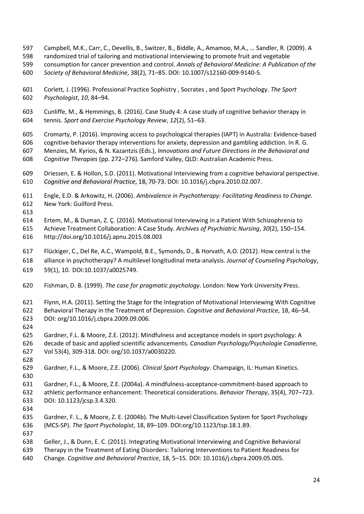- Campbell, M.K., Carr, C., Devellis, B., Switzer, B., Biddle, A., Amamoo, M.A., … Sandler, R. (2009). A
- randomized trial of tailoring and motivational interviewing to promote fruit and vegetable
- consumption for cancer prevention and control. *Annals of Behavioral Medicine: A Publication of the Society of Behavioral Medicine*, 38(2), 71–85. DOI: 10.1007/s12160-009-9140-5.
- Corlett, J. (1996). Professional Practice Sophistry , Socrates , and Sport Psychology. *The Sport Psychologist*, *10*, 84–94.
- Cunliffe, M., & Hemmings, B. (2016). Case Study 4: A case study of cognitive behavior therapy in tennis. *Sport and Exercise Psychology Review*, *12*(2), 51–63.
- Cromarty, P. (2016). Improving access to psychological therapies (IAPT) in Australia: Evidence-based
- cognitive-behavior therapy interventions for anxiety, depression and gambling addiction. In R. G. Menzies, M. Kyrios, & N. Kazantzis (Eds.), *Innovations and Future Directions in the Behavioral and Cognitive Therapies* (pp. 272–276). Samford Valley, QLD: Australian Academic Press.
- Driessen, E. & Hollon, S.D. (2011). Motivational Interviewing from a cognitive behavioral perspective. *Cognitive and Behavioral Practice*, 18, 70-73. DOI: 10.1016/j.cbpra.2010.02.007.
- Engle, E.D. & Arkowitz, H. (2006). *Ambivalence in Psychotherapy: Facilitating Readiness to Change.*  New York: Guilford Press.
- 
- Ertem, M., & Duman, Z. Ç. (2016). Motivational Interviewing in a Patient With Schizophrenia to
- Achieve Treatment Collaboration: A Case Study. *Archives of Psychiatric Nursing*, *30*(2), 150–154. http://doi.org/10.1016/j.apnu.2015.08.003
- Flückiger, C., Del Re, A.C., Wampold, B.E., Symonds, D., & Horvath, A.O. (2012). How central is the
- alliance in psychotherapy? A multilevel longitudinal meta-analysis. *Journal of Counseling Psychology*,
- 59(1), 10. DOI:10.1037/a0025749.
- Fishman, D. B. (1999). *The case for pragmatic psychology*. London: New York University Press.
- Flynn, H.A. (2011). Setting the Stage for the Integration of Motivational Interviewing With Cognitive Behavioral Therapy in the Treatment of Depression. *Cognitive and Behavioral Practice*, 18, 46–54. DOI: org/10.1016/j.cbpra.2009.09.006.
- 

- Gardner, F.L. & Moore, Z.E. (2012). Mindfulness and acceptance models in sport psychology: A decade of basic and applied scientific advancements. *Canadian Psychology/Psychologie Canadienne,* Vol 53(4), 309-318. DOI: org/10.1037/a0030220.
- Gardner, F.L., & Moore, Z.E. (2006). *Clinical Sport Psychology*. Champaign, IL: Human Kinetics.
- Gardner, F.L., & Moore, Z.E. (2004a). A mindfulness-acceptance-commitment-based approach to athletic performance enhancement: Theoretical considerations. *Behavior Therapy*, 35(4), 707–723. DOI: 10.1123/jcsp.3.4.320.
- 
- Gardner, F. L., & Moore, Z. E. (2004b). The Multi-Level Classification System for Sport Psychology (MCS-SP). *The Sport Psychologist*, 18, 89–109. DOI:org/10.1123/tsp.18.1.89.
- 
- Geller, J., & Dunn, E. C. (2011). Integrating Motivational Interviewing and Cognitive Behavioral
- Therapy in the Treatment of Eating Disorders: Tailoring Interventions to Patient Readiness for
- Change. *Cognitive and Behavioral Practice*, 18, 5–15. DOI: 10.1016/j.cbpra.2009.05.005.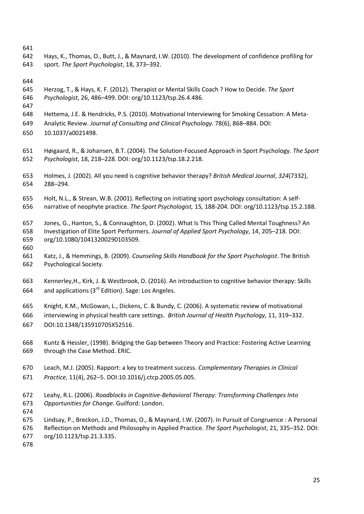- 
- Hays, K., Thomas, O., Butt, J., & Maynard, I.W. (2010). The development of confidence profiling for
- sport. *The Sport Psychologist*, 18, 373–392.
- 

- Herzog, T., & Hays, K. F. (2012). Therapist or Mental Skills Coach ? How to Decide. *The Sport Psychologist*, 26, 486–499. DOI: org/10.1123/tsp.26.4.486.
- Hettema, J.E. & Hendricks, P.S. (2010). Motivational Interviewing for Smoking Cessation: A Meta-
- Analytic Review. *Journal of Consulting and Clinical Psychology.* [7](http://search.proquest.com.lcproxy.shu.ac.uk/indexingvolumeissuelinkhandler/42317/Journal+of+Consulting+and+Clinical+Psychology/02010Y12Y01$23Dec+2010$3b++Vol.+78+$286$29/78/6?accountid=13827)8(6), 868–884. DOI:
- 10.1037/a0021498.
- Høigaard, R., & Johansen, B.T. (2004). The Solution-Focused Approach in Sport Psychology. *The Sport Psychologist*, 18, 218–228. DOI: org/10.1123/tsp.18.2.218.
- Holmes, J. (2002). All you need is cognitive behavior therapy? *British Medical Journal*, *324*(7332), 288–294.
- Holt, N.L., & Strean, W.B. (2001). Reflecting on initiating sport psychology consultation: A self-narrative of neophyte practice. *The Sport Psychologist,* 15*,* 188-204. DOI: org/10.1123/tsp.15.2.188.
- Jones, G., Hanton, S., & Connaughton, D. (2002). What Is This Thing Called Mental Toughness? An Investigation of Elite Sport Performers. *Journal of Applied Sport Psychology*, 14, 205–218. DOI: org/10.1080/10413200290103509.
- 
- Katz, J., & Hemmings, B. (2009). *Counseling Skills Handbook for the Sport Psychologist*. The British Psychological Society.
- Kennerley,H., Kirk, J. & Westbrook, D. (2016). An introduction to cognitive behavior therapy: Skills 664 and applications  $(3^{rd}$  Edition). Sage: Los Angeles.
- Knight, K.M., McGowan, L., Dickens, C. & Bundy, C. (2006). A systematic review of motivational interviewing in physical health care settings. *British Journal of Health Psychology,* 11, 319–332. DOI[:10.1348/135910705X52516.](https://doi.org/10.1348/135910705X52516)
- Kuntz & Hessler, (1998). Bridging the Gap between Theory and Practice: Fostering Active Learning through the Case Method. ERIC.
- Leach, M.J. (2005). Rapport: a key to treatment success. *Complementary Therapies in Clinical Practice*, 11(4), 262–5. DOI[:10.1016/j.ctcp.2005.05.005.](https://doi.org/10.1016/j.ctcp.2005.05.005)
- Leahy, R.L. (2006). *Roadblocks in Cognitive-Behavioral Therapy: Transforming Challenges Into Opportunities for Change.* Guilford: London.
- 

 Lindsay, P., Breckon, J.D., Thomas, O., & Maynard, I.W. (2007). In Pursuit of Congruence : A Personal Reflection on Methods and Philosophy in Applied Practice. *The Sport Psychologist*, 21, 335–352. DOI: org/10.1123/tsp.21.3.335.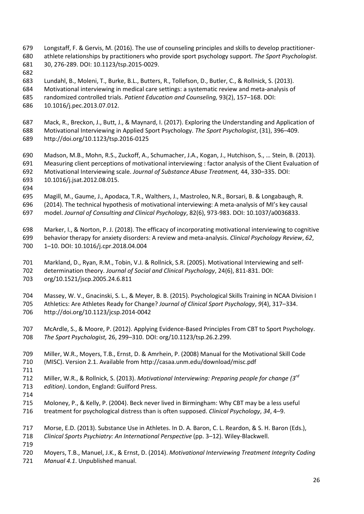- Longstaff, F. & Gervis, M. (2016). The use of counseling principles and skills to develop practitioner-athlete relationships by practitioners who provide sport psychology support. *The Sport Psychologist.*
- 30, 276-289. DOI: 10.1123/tsp.2015-0029.

 Lundahl, B., Moleni, T., Burke, B.L., Butters, R., Tollefson, D., Butler, C., & Rollnick, S. (2013).

 Motivational interviewing in medical care settings: a systematic review and meta-analysis of randomized controlled trials. *Patient Education and Counseling,* 93(2), 157–168. DOI:

- 10.1016/j.pec.2013.07.012.
- Mack, R., Breckon, J., Butt, J., & Maynard, I. (2017). Exploring the Understanding and Application of Motivational Interviewing in Applied Sport Psychology. *The Sport Psychologist*, (31), 396–409. http://doi.org/10.1123/tsp.2016-0125

 Madson, M.B., Mohn, R.S., Zuckoff, A., Schumacher, J.A., Kogan, J., Hutchison, S., … Stein, B. (2013). Measuring client perceptions of motivational interviewing : factor analysis of the Client Evaluation of Motivational Interviewing scale. *Journal of Substance Abuse Treatment,* 44, 330–335. DOI: 10.1016/j.jsat.2012.08.015.

Magill, M., Gaume, J., Apodaca, T.R., Walthers, J., Mastroleo, N.R., Borsari, B. & Longabaugh, R.

 (2014). The technical hypothesis of motivational interviewing: A meta-analysis of MI's key causal model. *Journal of Consulting and Clinical Psychology*, 82(6), 973-983. DOI: 10.1037/a0036833.

 Marker, I., & Norton, P. J. (2018). The efficacy of incorporating motivational interviewing to cognitive behavior therapy for anxiety disorders: A review and meta-analysis. *Clinical Psychology Review*, *62*, 1–10. DOI: 10.1016/j.cpr.2018.04.004

 Markland, D., Ryan, R.M., Tobin, V.J. & Rollnick, S.R. (2005). Motivational Interviewing and self-determination theory. *Journal of Social and Clinical Psychology*, 24(6), 811-831. DOI:

org/10.1521/jscp.2005.24.6.811

 Massey, W. V., Gnacinski, S. L., & Meyer, B. B. (2015). Psychological Skills Training in NCAA Division I Athletics: Are Athletes Ready for Change? *Journal of Clinical Sport Psychology*, *9*(4), 317–334. http://doi.org/10.1123/jcsp.2014-0042

- McArdle, S., & Moore, P. (2012). Applying Evidence-Based Principles From CBT to Sport Psychology. *The Sport Psychologist,* 26, 299–310. DOI: org/10.1123/tsp.26.2.299.
- Miller, W.R., Moyers, T.B., Ernst, D. & Amrhein, P. (2008) Manual for the Motivational Skill Code (MISC). Version 2.1. Available from http://casaa.unm.edu/download/misc.pdf
- 

Miller, W.R., & Rollnick, S. (2013). *Motivational Interviewing: Preparing people for change (3rd*

- *edition)*. London, England: Guilford Press.
- 
- Moloney, P., & Kelly, P. (2004). Beck never lived in Birmingham: Why CBT may be a less useful treatment for psychological distress than is often supposed. *Clinical Psychology*, *34*, 4–9.
- Morse, E.D. (2013). Substance Use in Athletes. In D. A. Baron, C. L. Reardon, & S. H. Baron (Eds.), *Clinical Sports Psychiatry: An International Perspective* (pp. 3–12). Wiley-Blackwell.
- 

Moyers, T.B., Manuel, J.K., & Ernst, D. (2014). *Motivational Interviewing Treatment Integrity Coding* 

*Manual 4.1*. Unpublished manual.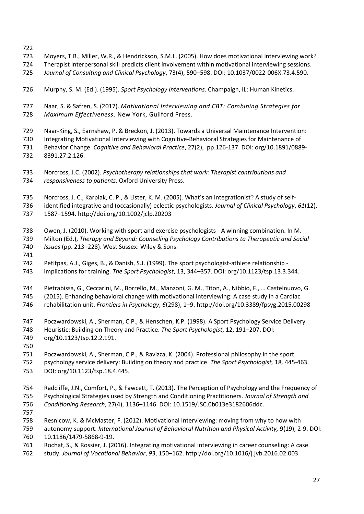- 
- Moyers, T.B., Miller, W.R., & Hendrickson, S.M.L. (2005). How does motivational interviewing work?
- Therapist interpersonal skill predicts client involvement within motivational interviewing sessions.
- *Journal of Consulting and Clinical Psychology*, 73(4), 590–598. DOI[: 10.1037/0022-006X.73.4.590.](https://doi.org/10.1037/0022-006X.73.4.590)
- Murphy, S. M. (Ed.). (1995). *Sport Psychology Interventions*. Champaign, IL: Human Kinetics.

- Naar-King, S., Earnshaw, P. & Breckon, J. (2013). Towards a Universal Maintenance Intervention:
- Integrating Motivational Interviewing with Cognitive-Behavioral Strategies for Maintenance of
- Behavior Change. *Cognitive and Behavioral Practice*, 27(2), pp.126-137. DOI: org/10.1891/0889- 8391.27.2.126.
- Norcross, J.C. (2002). *Psychotherapy relationships that work: Therapist contributions and responsiveness to patients*. Oxford University Press.
- Norcross, J. C., Karpiak, C. P., & Lister, K. M. (2005). What's an integrationist? A study of self-
- identified integrative and (occasionally) eclectic psychologists. *Journal of Clinical Psychology*, *61*(12), 1587–1594. http://doi.org/10.1002/jclp.20203
- Owen, J. (2010). Working with sport and exercise psychologists A winning combination. In M. Milton (Ed.), *Therapy and Beyond: Counseling Psychology Contributions to Therapeutic and Social Issues* (pp. 213–228). West Sussex: Wiley & Sons.
- 
- Petitpas, A.J., Giges, B., & Danish, S.J. (1999). The sport psychologist-athlete relationship -
- implications for training. *The Sport Psychologist*, 13, 344–357. DOI: org/10.1123/tsp.13.3.344.
- Pietrabissa, G., Ceccarini, M., Borrello, M., Manzoni, G. M., Titon, A., Nibbio, F., … Castelnuovo, G.
- (2015). Enhancing behavioral change with motivational interviewing: A case study in a Cardiac rehabilitation unit. *Frontiers in Psychology*, *6*(298), 1–9. http://doi.org/10.3389/fpsyg.2015.00298
- Poczwardowski, A., Sherman, C.P., & Henschen, K.P. (1998). A Sport Psychology Service Delivery
- Heuristic: Building on Theory and Practice. *The Sport Psychologist*, 12, 191–207. DOI:
- org/10.1123/tsp.12.2.191.
- 
- Poczwardowski, A., Sherman, C.P., & Ravizza, K. (2004). Professional philosophy in the sport psychology service delivery: Building on theory and practice. *The Sport Psychologist,* 18*,* 445-463.
- DOI: org/10.1123/tsp.18.4.445.
- Radcliffe, J.N., Comfort, P., & Fawcett, T. (2013). The Perception of Psychology and the Frequency of Psychological Strategies used by Strength and Conditioning Practitioners. *Journal of Strength and Conditioning Research*, 27(4), 1136–1146. DOI: 10.1519/JSC.0b013e3182606ddc.
- 

- Rochat, S., & Rossier, J. (2016). Integrating motivational interviewing in career counseling: A case
- study. *Journal of Vocational Behavior*, *93*, 150–162. http://doi.org/10.1016/j.jvb.2016.02.003

 Naar, S. & Safren, S. (2017). *Motivational Interviewing and CBT: Combining Strategies for Maximum Effectiveness*. New York, Guilford Press.

 Resnicow, K. & McMaster, F. (2012). Motivational Interviewing: moving from why to how with autonomy support. *International Journal of Behavioral Nutrition and Physical Activity,* 9(19), 2-9. DOI: 10.1186/1479-5868-9-19.